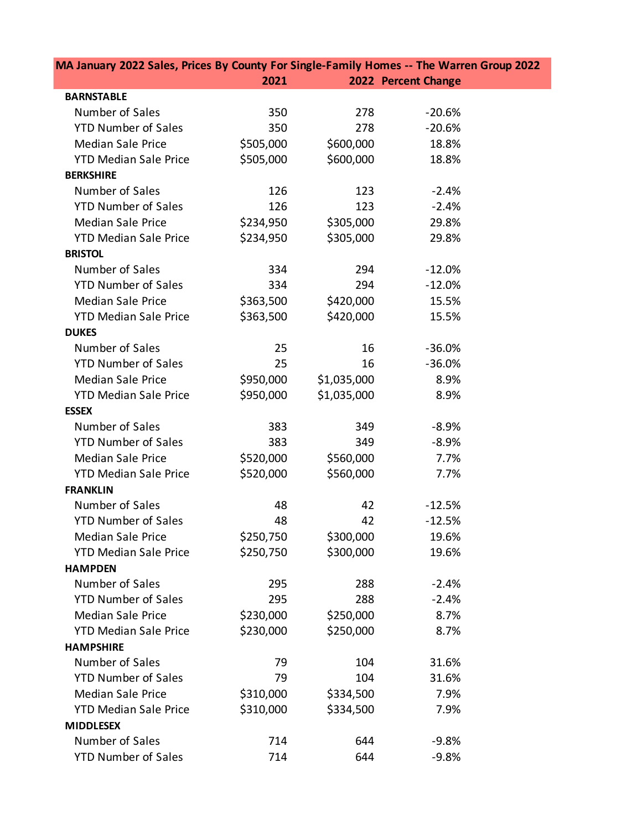| MA January 2022 Sales, Prices By County For Single-Family Homes -- The Warren Group 2022 |           |             |                     |  |  |
|------------------------------------------------------------------------------------------|-----------|-------------|---------------------|--|--|
|                                                                                          | 2021      |             | 2022 Percent Change |  |  |
| <b>BARNSTABLE</b>                                                                        |           |             |                     |  |  |
| Number of Sales                                                                          | 350       | 278         | $-20.6%$            |  |  |
| <b>YTD Number of Sales</b>                                                               | 350       | 278         | $-20.6%$            |  |  |
| <b>Median Sale Price</b>                                                                 | \$505,000 | \$600,000   | 18.8%               |  |  |
| <b>YTD Median Sale Price</b>                                                             | \$505,000 | \$600,000   | 18.8%               |  |  |
| <b>BERKSHIRE</b>                                                                         |           |             |                     |  |  |
| Number of Sales                                                                          | 126       | 123         | $-2.4%$             |  |  |
| <b>YTD Number of Sales</b>                                                               | 126       | 123         | $-2.4%$             |  |  |
| <b>Median Sale Price</b>                                                                 | \$234,950 | \$305,000   | 29.8%               |  |  |
| <b>YTD Median Sale Price</b>                                                             | \$234,950 | \$305,000   | 29.8%               |  |  |
| <b>BRISTOL</b>                                                                           |           |             |                     |  |  |
| Number of Sales                                                                          | 334       | 294         | $-12.0%$            |  |  |
| <b>YTD Number of Sales</b>                                                               | 334       | 294         | $-12.0%$            |  |  |
| <b>Median Sale Price</b>                                                                 | \$363,500 | \$420,000   | 15.5%               |  |  |
| <b>YTD Median Sale Price</b>                                                             | \$363,500 | \$420,000   | 15.5%               |  |  |
| <b>DUKES</b>                                                                             |           |             |                     |  |  |
| Number of Sales                                                                          | 25        | 16          | $-36.0%$            |  |  |
| <b>YTD Number of Sales</b>                                                               | 25        | 16          | $-36.0%$            |  |  |
| <b>Median Sale Price</b>                                                                 | \$950,000 | \$1,035,000 | 8.9%                |  |  |
| <b>YTD Median Sale Price</b>                                                             | \$950,000 | \$1,035,000 | 8.9%                |  |  |
| <b>ESSEX</b>                                                                             |           |             |                     |  |  |
| Number of Sales                                                                          | 383       | 349         | $-8.9%$             |  |  |
| <b>YTD Number of Sales</b>                                                               | 383       | 349         | $-8.9%$             |  |  |
| <b>Median Sale Price</b>                                                                 | \$520,000 | \$560,000   | 7.7%                |  |  |
| <b>YTD Median Sale Price</b>                                                             | \$520,000 | \$560,000   | 7.7%                |  |  |
| <b>FRANKLIN</b>                                                                          |           |             |                     |  |  |
| Number of Sales                                                                          | 48        | 42          | $-12.5%$            |  |  |
| <b>YTD Number of Sales</b>                                                               | 48        | 42          | $-12.5%$            |  |  |
| <b>Median Sale Price</b>                                                                 | \$250,750 | \$300,000   | 19.6%               |  |  |
| <b>YTD Median Sale Price</b>                                                             | \$250,750 | \$300,000   | 19.6%               |  |  |
| <b>HAMPDEN</b>                                                                           |           |             |                     |  |  |
| Number of Sales                                                                          | 295       | 288         | $-2.4%$             |  |  |
| <b>YTD Number of Sales</b>                                                               | 295       | 288         | $-2.4%$             |  |  |
| <b>Median Sale Price</b>                                                                 | \$230,000 | \$250,000   | 8.7%                |  |  |
| <b>YTD Median Sale Price</b>                                                             | \$230,000 | \$250,000   | 8.7%                |  |  |
| <b>HAMPSHIRE</b>                                                                         |           |             |                     |  |  |
| Number of Sales                                                                          | 79        | 104         | 31.6%               |  |  |
| <b>YTD Number of Sales</b>                                                               | 79        | 104         | 31.6%               |  |  |
| <b>Median Sale Price</b>                                                                 | \$310,000 | \$334,500   | 7.9%                |  |  |
| <b>YTD Median Sale Price</b>                                                             | \$310,000 | \$334,500   | 7.9%                |  |  |
| <b>MIDDLESEX</b>                                                                         |           |             |                     |  |  |
| Number of Sales                                                                          | 714       | 644         | $-9.8%$             |  |  |
| <b>YTD Number of Sales</b>                                                               | 714       | 644         | $-9.8%$             |  |  |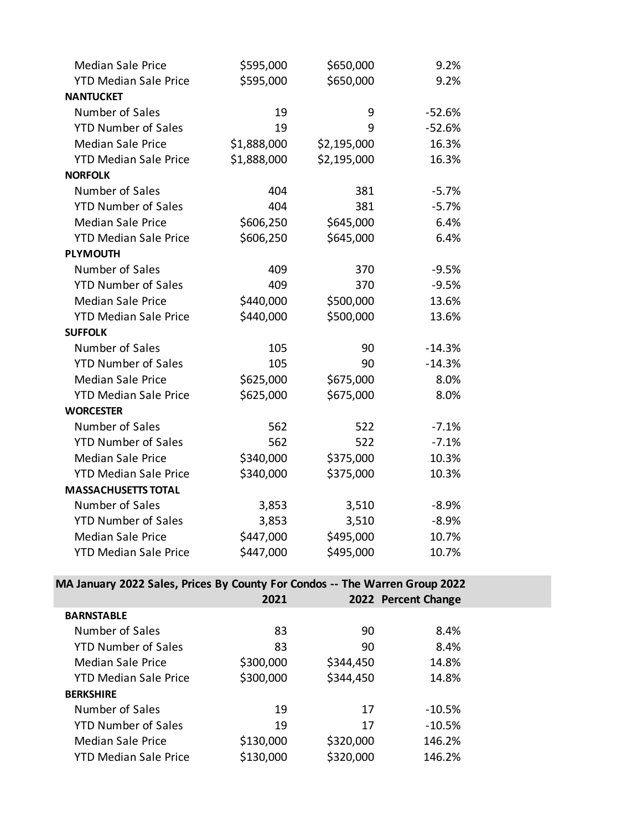| <b>Median Sale Price</b>     | \$595,000   | \$650,000   | 9.2%     |
|------------------------------|-------------|-------------|----------|
| <b>YTD Median Sale Price</b> | \$595,000   | \$650,000   | 9.2%     |
| <b>NANTUCKET</b>             |             |             |          |
| Number of Sales              | 19          | 9           | $-52.6%$ |
| <b>YTD Number of Sales</b>   | 19          | 9           | $-52.6%$ |
| <b>Median Sale Price</b>     | \$1,888,000 | \$2,195,000 | 16.3%    |
| <b>YTD Median Sale Price</b> | \$1,888,000 | \$2,195,000 | 16.3%    |
| <b>NORFOLK</b>               |             |             |          |
| Number of Sales              | 404         | 381         | $-5.7%$  |
| <b>YTD Number of Sales</b>   | 404         | 381         | $-5.7%$  |
| <b>Median Sale Price</b>     | \$606,250   | \$645,000   | 6.4%     |
| <b>YTD Median Sale Price</b> | \$606,250   | \$645,000   | 6.4%     |
| <b>PLYMOUTH</b>              |             |             |          |
| Number of Sales              | 409         | 370         | $-9.5%$  |
| <b>YTD Number of Sales</b>   | 409         | 370         | $-9.5%$  |
| <b>Median Sale Price</b>     | \$440,000   | \$500,000   | 13.6%    |
| <b>YTD Median Sale Price</b> | \$440,000   | \$500,000   | 13.6%    |
| <b>SUFFOLK</b>               |             |             |          |
| Number of Sales              | 105         | 90          | $-14.3%$ |
| <b>YTD Number of Sales</b>   | 105         | 90          | $-14.3%$ |
| <b>Median Sale Price</b>     | \$625,000   | \$675,000   | 8.0%     |
| <b>YTD Median Sale Price</b> | \$625,000   | \$675,000   | 8.0%     |
| <b>WORCESTER</b>             |             |             |          |
| Number of Sales              | 562         | 522         | $-7.1%$  |
| <b>YTD Number of Sales</b>   | 562         | 522         | $-7.1%$  |
| <b>Median Sale Price</b>     | \$340,000   | \$375,000   | 10.3%    |
| <b>YTD Median Sale Price</b> | \$340,000   | \$375,000   | 10.3%    |
| <b>MASSACHUSETTS TOTAL</b>   |             |             |          |
| Number of Sales              | 3,853       | 3,510       | $-8.9%$  |
| <b>YTD Number of Sales</b>   | 3,853       | 3,510       | $-8.9%$  |
| <b>Median Sale Price</b>     | \$447,000   | \$495,000   | 10.7%    |
| <b>YTD Median Sale Price</b> | \$447,000   | \$495,000   | 10.7%    |

## **MA January 2022 Sales, Prices By County For Condos -- The Warren Group 2022**

|                              | 2021      |           | 2022 Percent Change |  |
|------------------------------|-----------|-----------|---------------------|--|
| <b>BARNSTABLE</b>            |           |           |                     |  |
| Number of Sales              | 83        | 90        | 8.4%                |  |
| <b>YTD Number of Sales</b>   | 83        | 90        | 8.4%                |  |
| <b>Median Sale Price</b>     | \$300,000 | \$344,450 | 14.8%               |  |
| <b>YTD Median Sale Price</b> | \$300,000 | \$344,450 | 14.8%               |  |
| <b>BERKSHIRE</b>             |           |           |                     |  |
| Number of Sales              | 19        | 17        | $-10.5%$            |  |
| <b>YTD Number of Sales</b>   | 19        | 17        | $-10.5%$            |  |
| <b>Median Sale Price</b>     | \$130,000 | \$320,000 | 146.2%              |  |
| <b>YTD Median Sale Price</b> | \$130,000 | \$320,000 | 146.2%              |  |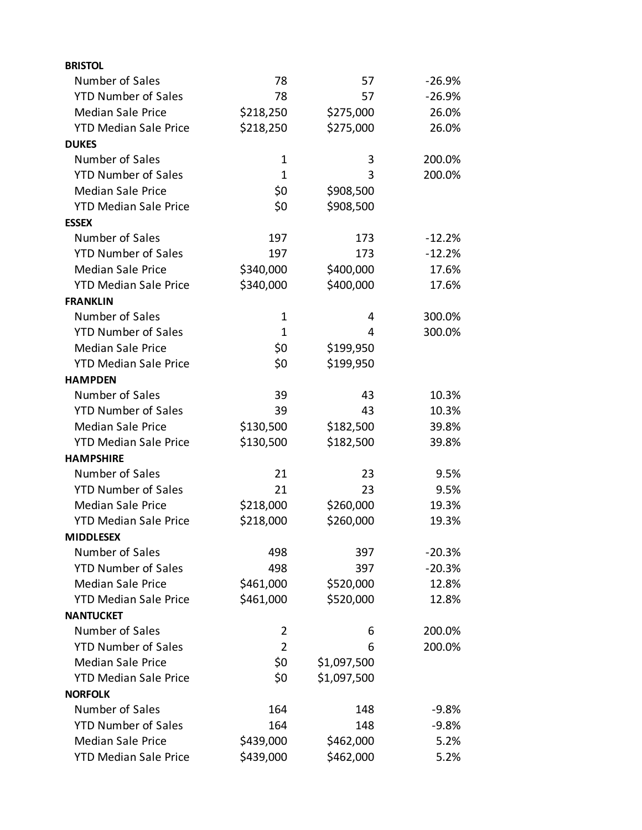| <b>BRISTOL</b>               |              |             |          |
|------------------------------|--------------|-------------|----------|
| Number of Sales              | 78           | 57          | $-26.9%$ |
| <b>YTD Number of Sales</b>   | 78           | 57          | $-26.9%$ |
| <b>Median Sale Price</b>     | \$218,250    | \$275,000   | 26.0%    |
| <b>YTD Median Sale Price</b> | \$218,250    | \$275,000   | 26.0%    |
| <b>DUKES</b>                 |              |             |          |
| Number of Sales              | $\mathbf 1$  | 3           | 200.0%   |
| <b>YTD Number of Sales</b>   | 1            | 3           | 200.0%   |
| <b>Median Sale Price</b>     | \$0          | \$908,500   |          |
| <b>YTD Median Sale Price</b> | \$0          | \$908,500   |          |
| <b>ESSEX</b>                 |              |             |          |
| Number of Sales              | 197          | 173         | $-12.2%$ |
| <b>YTD Number of Sales</b>   | 197          | 173         | $-12.2%$ |
| <b>Median Sale Price</b>     | \$340,000    | \$400,000   | 17.6%    |
| <b>YTD Median Sale Price</b> | \$340,000    | \$400,000   | 17.6%    |
| <b>FRANKLIN</b>              |              |             |          |
| Number of Sales              | $\mathbf 1$  | 4           | 300.0%   |
| <b>YTD Number of Sales</b>   | $\mathbf{1}$ | 4           | 300.0%   |
| <b>Median Sale Price</b>     | \$0          | \$199,950   |          |
| <b>YTD Median Sale Price</b> | \$0          | \$199,950   |          |
| <b>HAMPDEN</b>               |              |             |          |
| Number of Sales              | 39           | 43          | 10.3%    |
| <b>YTD Number of Sales</b>   | 39           | 43          | 10.3%    |
| <b>Median Sale Price</b>     | \$130,500    | \$182,500   | 39.8%    |
| <b>YTD Median Sale Price</b> | \$130,500    | \$182,500   | 39.8%    |
| <b>HAMPSHIRE</b>             |              |             |          |
| Number of Sales              | 21           | 23          | 9.5%     |
| <b>YTD Number of Sales</b>   | 21           | 23          | 9.5%     |
| <b>Median Sale Price</b>     | \$218,000    | \$260,000   | 19.3%    |
| <b>YTD Median Sale Price</b> | \$218,000    | \$260,000   | 19.3%    |
| <b>MIDDLESEX</b>             |              |             |          |
| Number of Sales              | 498          | 397         | $-20.3%$ |
| <b>YTD Number of Sales</b>   | 498          | 397         | $-20.3%$ |
| <b>Median Sale Price</b>     | \$461,000    | \$520,000   | 12.8%    |
| <b>YTD Median Sale Price</b> | \$461,000    | \$520,000   | 12.8%    |
| <b>NANTUCKET</b>             |              |             |          |
| Number of Sales              | 2            | 6           | 200.0%   |
| <b>YTD Number of Sales</b>   | 2            | 6           | 200.0%   |
| <b>Median Sale Price</b>     | \$0          | \$1,097,500 |          |
| <b>YTD Median Sale Price</b> | \$0          | \$1,097,500 |          |
| <b>NORFOLK</b>               |              |             |          |
| Number of Sales              | 164          | 148         | $-9.8%$  |
| <b>YTD Number of Sales</b>   | 164          | 148         | $-9.8%$  |
| <b>Median Sale Price</b>     | \$439,000    | \$462,000   | 5.2%     |
| <b>YTD Median Sale Price</b> | \$439,000    | \$462,000   | 5.2%     |